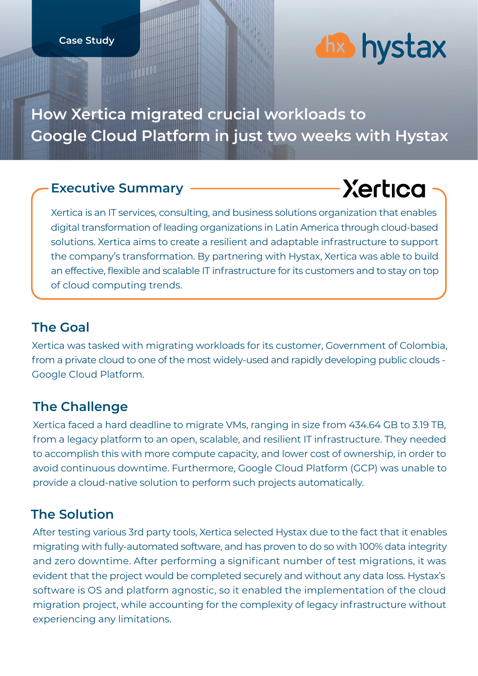# *dix* hystax

### **How Xertica migrated crucial workloads to Google Cloud Platform in just two weeks with Hystax**

#### **Executive Summary**

## **Xertica**

Xertica is an IT services, consulting, and business solutions organization that enables digital transformation of leading organizations in Latin America through cloud-based solutions. Xertica aims to create a resilient and adaptable infrastructure to support the company's transformation. By partnering with Hystax, Xertica was able to build an effective, flexible and scalable IT infrastructure for its customers and to stay on top of cloud computing trends.

#### **The Goal**

Xertica was tasked with migrating workloads for its customer, Government of Colombia, from a private cloud to one of the most widely-used and rapidly developing public clouds - Google Cloud Platform.

#### **The Challenge**

Xertica faced a hard deadline to migrate VMs, ranging in size from 434.64 GB to 3.19 TB, from a legacy platform to an open, scalable, and resilient IT infrastructure. They needed to accomplish this with more compute capacity, and lower cost of ownership, in order to avoid continuous downtime. Furthermore, Google Cloud Platform (GCP) was unable to provide a cloud-native solution to perform such projects automatically.

#### **The Solution**

After testing various 3rd party tools, Xertica selected Hystax due to the fact that it enables migrating with fully-automated software, and has proven to do so with 100% data integrity and zero downtime. After performing a significant number of test migrations, it was evident that the project would be completed securely and without any data loss. Hystax's software is OS and platform agnostic, so it enabled the implementation of the cloud migration project, while accounting for the complexity of legacy infrastructure without experiencing any limitations.